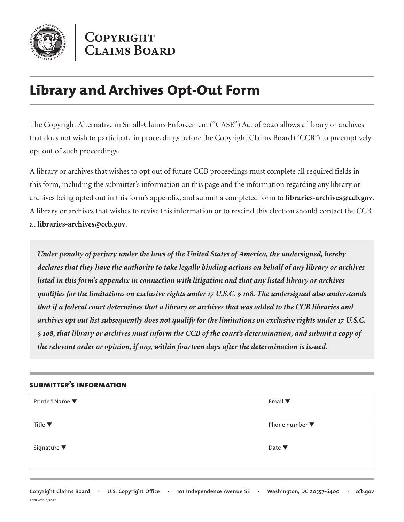

COPYRIGHT **CLAIMS BOARD** 

## **Library and Archives Opt-Out Form**

The Copyright Alternative in Small-Claims Enforcement (''CASE'') Act of 2020 allows a library or archives that does not wish to participate in proceedings before the Copyright Claims Board ("CCB") to preemptively opt out of such proceedings.

A library or archives that wishes to opt out of future CCB proceedings must complete all required fields in this form, including the submitter's information on this page and the information regarding any library or archives being opted out in this form's appendix, and submit a completed form to **libraries-archives@ccb.gov**. A library or archives that wishes to revise this information or to rescind this election should contact the CCB at **libraries-archives@ccb.gov**.

*Under penalty of perjury under the laws of the United States of America, the undersigned, hereby declares that they have the authority to take legally binding actions on behalf of any library or archives listed in this form's appendix in connection with litigation and that any listed library or archives qualifies for the limitations on exclusive rights under 17 U.S.C. § 108. The undersigned also understands that if a federal court determines that a library or archives that was added to the CCB libraries and archives opt out list subsequently does not qualify for the limitations on exclusive rights under 17 U.S.C. § 108, that library or archives must inform the CCB of the court's determination, and submit a copy of the relevant order or opinion, if any, within fourteen days after the determination is issued.*

## **submitter's information**

| Printed Name ▼                 | Email $\blacktriangledown$        |
|--------------------------------|-----------------------------------|
| Title $\blacktriangledown$     | Phone number $\blacktriangledown$ |
| Signature $\blacktriangledown$ | Date $\blacktriangledown$         |
|                                |                                   |